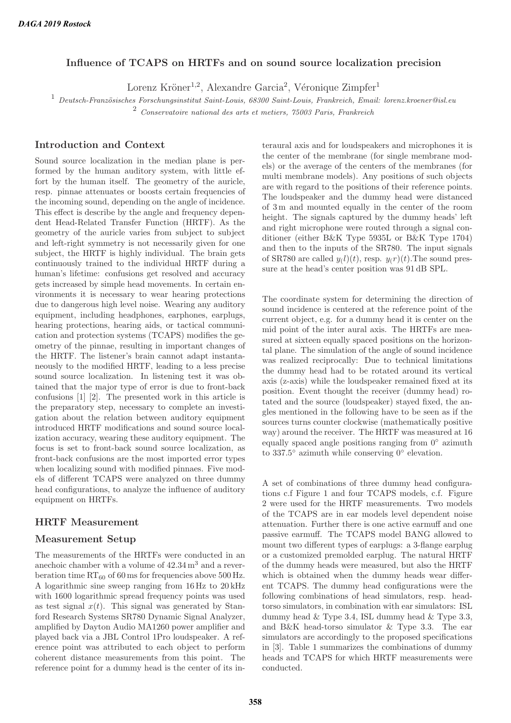## **Influence of TCAPS on HRTFs and on sound source localization precision**

Lorenz Kröner<sup>1,2</sup>, Alexandre Garcia<sup>2</sup>, Véronique Zimpfer<sup>1</sup>

 $1$  Deutsch-Französisches Forschungsinstitut Saint-Louis, 68300 Saint-Louis, Frankreich, Email: lorenz.kroener@isl.eu <sup>2</sup> Conservatoire national des arts et metiers, 75003 Paris, Frankreich

# **Introduction and Context**

Sound source localization in the median plane is performed by the human auditory system, with little effort by the human itself. The geometry of the auricle, resp. pinnae attenuates or boosts certain frequencies of the incoming sound, depending on the angle of incidence. This effect is describe by the angle and frequency dependent Head-Related Transfer Function (HRTF). As the geometry of the auricle varies from subject to subject and left-right symmetry is not necessarily given for one subject, the HRTF is highly individual. The brain gets continuously trained to the individual HRTF during a human's lifetime: confusions get resolved and accuracy gets increased by simple head movements. In certain environments it is necessary to wear hearing protections due to dangerous high level noise. Wearing any auditory equipment, including headphones, earphones, earplugs, hearing protections, hearing aids, or tactical communication and protection systems (TCAPS) modifies the geometry of the pinnae, resulting in important changes of the HRTF. The listener's brain cannot adapt instantaneously to the modified HRTF, leading to a less precise sound source localization. In listening test it was obtained that the major type of error is due to front-back confusions [1] [2]. The presented work in this article is the preparatory step, necessary to complete an investigation about the relation between auditory equipment introduced HRTF modifications and sound source localization accuracy, wearing these auditory equipment. The focus is set to front-back sound source localization, as front-back confusions are the most imported error types when localizing sound with modified pinnaes. Five models of different TCAPS were analyzed on three dummy head configurations, to analyze the influence of auditory equipment on HRTFs.

#### **HRTF Measurement**

#### **Measurement Setup**

The measurements of the HRTFs were conducted in an anechoic chamber with a volume of  $42.34 \,\mathrm{m}^3$  and a reverberation time  $RT_{60}$  of 60 ms for frequencies above 500 Hz. A logarithmic sine sweep ranging from 16 Hz to 20 kHz with 1600 logarithmic spread frequency points was used as test signal  $x(t)$ . This signal was generated by Stanford Research Systems SR780 Dynamic Signal Analyzer, amplified by Dayton Audio MA1260 power amplifier and played back via a JBL Control 1Pro loudspeaker. A reference point was attributed to each object to perform coherent distance measurements from this point. The reference point for a dummy head is the center of its interaural axis and for loudspeakers and microphones it is the center of the membrane (for single membrane models) or the average of the centers of the membranes (for multi membrane models). Any positions of such objects are with regard to the positions of their reference points. The loudspeaker and the dummy head were distanced of 3 m and mounted equally in the center of the room height. The signals captured by the dummy heads' left and right microphone were routed through a signal conditioner (either B&K Type 5935L or B&K Type 1704) and then to the inputs of the SR780. The input signals of SR780 are called  $y_l(t)$ , resp.  $y_r(t)$ . The sound pressure at the head's center position was 91 dB SPL.

The coordinate system for determining the direction of sound incidence is centered at the reference point of the current object, e.g. for a dummy head it is center on the mid point of the inter aural axis. The HRTFs are measured at sixteen equally spaced positions on the horizontal plane. The simulation of the angle of sound incidence was realized reciprocally: Due to technical limitations the dummy head had to be rotated around its vertical axis (z-axis) while the loudspeaker remained fixed at its position. Event thought the receiver (dummy head) rotated and the source (loudspeaker) stayed fixed, the angles mentioned in the following have to be seen as if the sources turns counter clockwise (mathematically positive way) around the receiver. The HRTF was measured at 16 equally spaced angle positions ranging from  $0°$  azimuth to 337.5◦ azimuth while conserving 0◦ elevation.

A set of combinations of three dummy head configurations c.f Figure 1 and four TCAPS models, c.f. Figure 2 were used for the HRTF measurements. Two models of the TCAPS are in ear models level dependent noise attenuation. Further there is one active earmuff and one passive earmuff. The TCAPS model BANG allowed to mount two different types of earplugs: a 3-flange earplug or a customized premolded earplug. The natural HRTF of the dummy heads were measured, but also the HRTF which is obtained when the dummy heads wear different TCAPS. The dummy head configurations were the following combinations of head simulators, resp. headtorso simulators, in combination with ear simulators: ISL dummy head & Type 3.4, ISL dummy head & Type 3.3, and B&K head-torso simulator & Type 3.3. The ear simulators are accordingly to the proposed specifications in [3]. Table 1 summarizes the combinations of dummy heads and TCAPS for which HRTF measurements were conducted.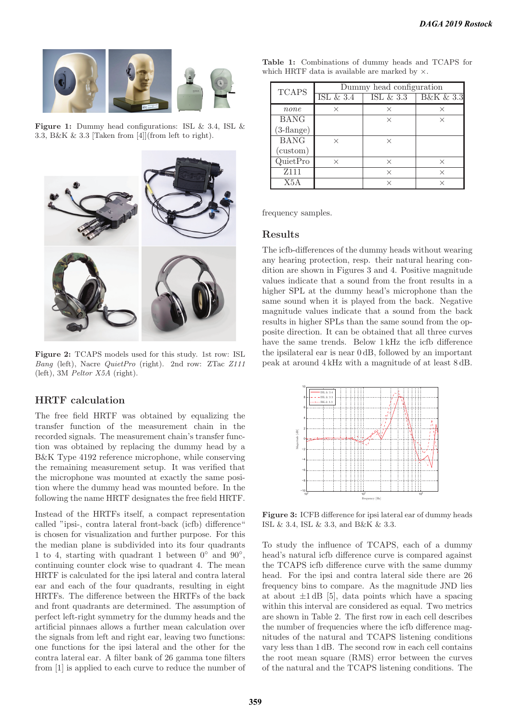

**Figure 1:** Dummy head configurations: ISL & 3.4, ISL & 3.3, B&K & 3.3 [Taken from [4]](from left to right).



**Figure 2:** TCAPS models used for this study. 1st row: ISL Bang (left), Nacre QuietPro (right). 2nd row: ZTac Z111 (left), 3M Peltor X5A (right).

## **HRTF calculation**

The free field HRTF was obtained by equalizing the transfer function of the measurement chain in the recorded signals. The measurement chain's transfer function was obtained by replacing the dummy head by a B&K Type 4192 reference microphone, while conserving the remaining measurement setup. It was verified that the microphone was mounted at exactly the same position where the dummy head was mounted before. In the following the name HRTF designates the free field HRTF.

Instead of the HRTFs itself, a compact representation called "ipsi-, contra lateral front-back (icfb) difference" is chosen for visualization and further purpose. For this the median plane is subdivided into its four quadrants 1 to 4, starting with quadrant 1 between  $0°$  and  $90°$ , continuing counter clock wise to quadrant 4. The mean HRTF is calculated for the ipsi lateral and contra lateral ear and each of the four quadrants, resulting in eight HRTFs. The difference between the HRTFs of the back and front quadrants are determined. The assumption of perfect left-right symmetry for the dummy heads and the artificial pinnaes allows a further mean calculation over the signals from left and right ear, leaving two functions: one functions for the ipsi lateral and the other for the contra lateral ear. A filter bank of 26 gamma tone filters from [1] is applied to each curve to reduce the number of

| <b>TCAPS</b>          | Dummy head configuration |              |                          |  |
|-----------------------|--------------------------|--------------|--------------------------|--|
|                       | ISL $&3.4$               | ISL $\&$ 3.3 | <b>B&amp;K &amp; 3.3</b> |  |
| none                  | X                        | ×            | ×                        |  |
| <b>BANG</b>           |                          | $\times$     | $\times$                 |  |
| $(3 - \text{flange})$ |                          |              |                          |  |
| <b>BANG</b>           | $\times$                 | $\times$     |                          |  |
| (custom)              |                          |              |                          |  |
| QuietPro              | $\times$                 | $\times$     | $\times$                 |  |
| Z <sub>111</sub>      |                          | X            | X                        |  |
| X5A                   |                          | $\times$     | $\times$                 |  |

**Table 1:** Combinations of dummy heads and TCAPS for

which HRTF data is available are marked by  $\times$ .

frequency samples.

### **Results**

The icfb-differences of the dummy heads without wearing any hearing protection, resp. their natural hearing condition are shown in Figures 3 and 4. Positive magnitude values indicate that a sound from the front results in a higher SPL at the dummy head's microphone than the same sound when it is played from the back. Negative magnitude values indicate that a sound from the back results in higher SPLs than the same sound from the opposite direction. It can be obtained that all three curves have the same trends. Below 1 kHz the icfb difference the ipsilateral ear is near 0 dB, followed by an important peak at around 4 kHz with a magnitude of at least 8 dB.



**Figure 3:** ICFB difference for ipsi lateral ear of dummy heads ISL & 3.4, ISL & 3.3, and B&K & 3.3.

To study the influence of TCAPS, each of a dummy head's natural icfb difference curve is compared against the TCAPS icfb difference curve with the same dummy head. For the ipsi and contra lateral side there are 26 frequency bins to compare. As the magnitude JND lies at about  $\pm 1$  dB [5], data points which have a spacing within this interval are considered as equal. Two metrics are shown in Table 2. The first row in each cell describes the number of frequencies where the icfb difference magnitudes of the natural and TCAPS listening conditions vary less than 1 dB. The second row in each cell contains the root mean square (RMS) error between the curves of the natural and the TCAPS listening conditions. The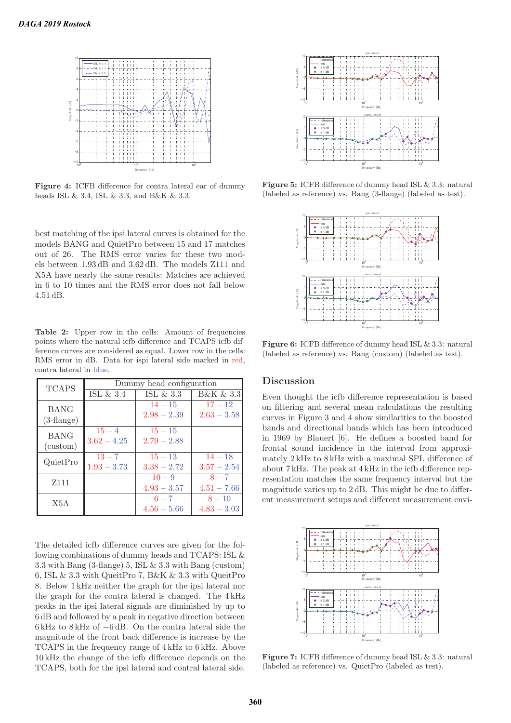

**Figure 4:** ICFB difference for contra lateral ear of dummy heads ISL & 3.4, ISL & 3.3, and B&K & 3.3.

best matching of the ipsi lateral curves is obtained for the models BANG and QuietPro between 15 and 17 matches out of 26. The RMS error varies for these two models between 1.93 dB and 3.62 dB. The models Z111 and X5A have nearly the same results: Matches are achieved in 6 to 10 times and the RMS error does not fall below 4.51 dB.

Table 2: Upper row in the cells: Amount of frequencies points where the natural icfb difference and TCAPS icfb difference curves are considered as equal. Lower row in the cells: RMS error in dB. Data for ispi lateral side marked in red, contra lateral in blue.

| <b>TCAPS</b>                 | Dummy head configuration |               |               |
|------------------------------|--------------------------|---------------|---------------|
|                              | ISL $\&$ 3.4             | ISL $\&3.3$   | B&K & 3.3     |
| <b>BANG</b><br>$(3$ -flange) |                          | $14 - 15$     | $17 - 12$     |
|                              |                          | $2.98 - 2.39$ | $2.63 - 3.58$ |
| <b>BANG</b><br>(custom)      | $15 - 4$                 | $15 - 15$     |               |
|                              | $3.62 - 4.25$            | $2.79 - 2.88$ |               |
| QuietPro                     | $13 - 7$                 | $15 - 13$     | $14 - 18$     |
|                              | $1.93 - 3.73$            | $3.38 - 2.72$ | $3.57 - 2.54$ |
| Z <sub>111</sub>             |                          | $10 - 9$      | $8 - 7$       |
|                              |                          | $4.93 - 3.57$ | $4.51 - 7.66$ |
| X5A                          |                          | $6 - 7$       | $8 - 10$      |
|                              |                          | $4.56 - 5.66$ | $4.83 - 3.03$ |

The detailed icfb difference curves are given for the following combinations of dummy heads and TCAPS: ISL & 3.3 with Bang (3-flange) 5, ISL & 3.3 with Bang (custom) 6, ISL & 3.3 with QueitPro 7, B&K & 3.3 with QueitPro 8. Below 1 kHz neither the graph for the ipsi lateral nor the graph for the contra lateral is changed. The 4 kHz peaks in the ipsi lateral signals are diminished by up to 6 dB and followed by a peak in negative direction between 6 kHz to 8 kHz of −6 dB. On the contra lateral side the magnitude of the front back difference is increase by the TCAPS in the frequency range of 4 kHz to 6 kHz. Above 10 kHz the change of the icfb difference depends on the TCAPS, both for the ipsi lateral and contral lateral side.



**Figure 5:** ICFB difference of dummy head ISL & 3.3: natural (labeled as reference) vs. Bang (3-flange) (labeled as test).



**Figure 6:** ICFB difference of dummy head ISL & 3.3: natural (labeled as reference) vs. Bang (custom) (labeled as test).

### **Discussion**

Even thought the icfb difference representation is based on filtering and several mean calculations the resulting curves in Figure 3 and 4 show similarities to the boosted bands and directional bands which has been introduced in 1969 by Blauert [6]. He defines a boosted band for frontal sound incidence in the interval from approximately 2 kHz to 8 kHz with a maximal SPL difference of about 7 kHz. The peak at 4 kHz in the icfb difference representation matches the same frequency interval but the magnitude varies up to 2 dB. This might be due to different measurement setups and different measurement envi-



**Figure 7:** ICFB difference of dummy head ISL & 3.3: natural (labeled as reference) vs. QuietPro (labeled as test).